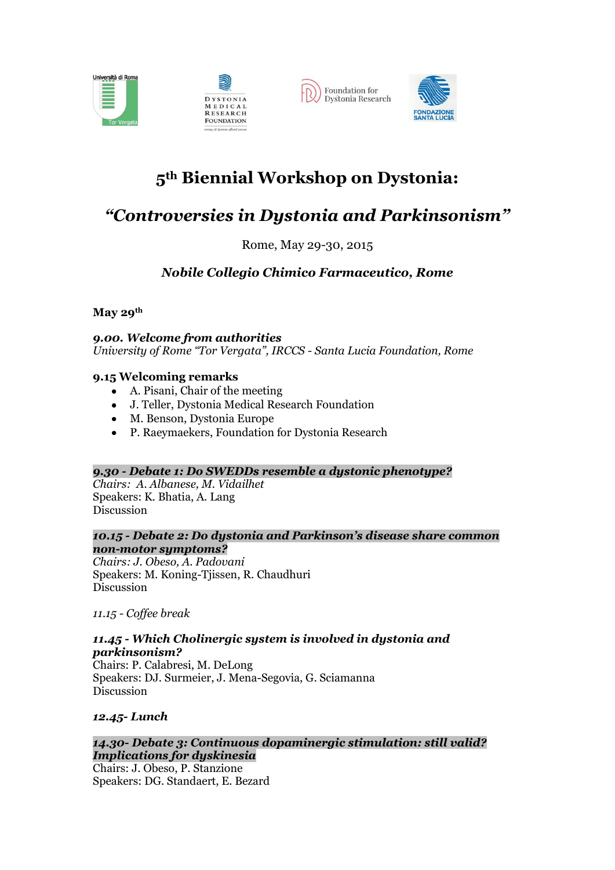





# **5th Biennial Workshop on Dystonia:**

## *"Controversies in Dystonia and Parkinsonism"*

### Rome, May 29-30, 2015

## *Nobile Collegio Chimico Farmaceutico, Rome*

**May 29th**

*9.00. Welcome from authorities University of Rome "Tor Vergata", IRCCS - Santa Lucia Foundation, Rome* 

#### **9.15 Welcoming remarks**

- A. Pisani, Chair of the meeting
- J. Teller, Dystonia Medical Research Foundation
- M. Benson, Dystonia Europe
- P. Raeymaekers, Foundation for Dystonia Research

#### *9.30 - Debate 1: Do SWEDDs resemble a dystonic phenotype?*

*Chairs: A. Albanese, M. Vidailhet* Speakers: K. Bhatia, A. Lang Discussion

#### *10.15 - Debate 2: Do dystonia and Parkinson's disease share common non-motor symptoms?*

*Chairs: J. Obeso, A. Padovani* Speakers: M. Koning-Tjissen, R. Chaudhuri Discussion

*11.15 - Coffee break*

#### *11.45 - Which Cholinergic system is involved in dystonia and parkinsonism?*

Chairs: P. Calabresi, M. DeLong Speakers: DJ. Surmeier, J. Mena-Segovia, G. Sciamanna Discussion

#### *12.45- Lunch*

#### *14.30- Debate 3: Continuous dopaminergic stimulation: still valid? Implications for dyskinesia*

Chairs: J. Obeso, P. Stanzione Speakers: DG. Standaert, E. Bezard